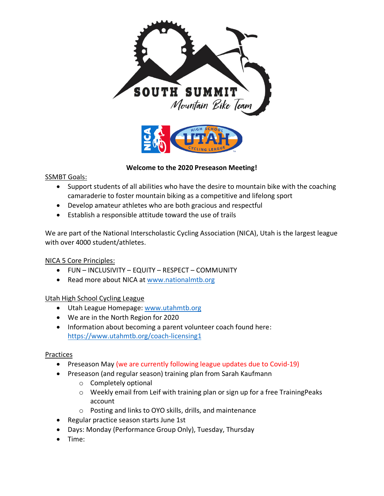

### **Welcome to the 2020 Preseason Meeting!**

SSMBT Goals:

- Support students of all abilities who have the desire to mountain bike with the coaching camaraderie to foster mountain biking as a competitive and lifelong sport
- Develop amateur athletes who are both gracious and respectful
- Establish a responsible attitude toward the use of trails

We are part of the National Interscholastic Cycling Association (NICA), Utah is the largest league with over 4000 student/athletes.

### NICA 5 Core Principles:

- FUN INCLUSIVITY EQUITY RESPECT COMMUNITY
- Read more about NICA at [www.nationalmtb.org](http://www.nationalmtb.org/)

Utah High School Cycling League

- Utah League Homepage: [www.utahmtb.org](http://www.utahmtb.org/)
- We are in the North Region for 2020
- Information about becoming a parent volunteer coach found here: <https://www.utahmtb.org/coach-licensing1>

### Practices

- Preseason May (we are currently following league updates due to Covid-19)
- Preseason (and regular season) training plan from Sarah Kaufmann
	- o Completely optional
	- o Weekly email from Leif with training plan or sign up for a free TrainingPeaks account
	- o Posting and links to OYO skills, drills, and maintenance
- Regular practice season starts June 1st
- Days: Monday (Performance Group Only), Tuesday, Thursday
- Time: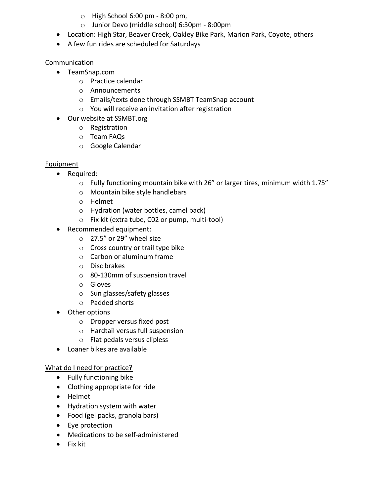- $\circ$  High School 6:00 pm 8:00 pm,
- o Junior Devo (middle school) 6:30pm 8:00pm
- Location: High Star, Beaver Creek, Oakley Bike Park, Marion Park, Coyote, others
- A few fun rides are scheduled for Saturdays

### Communication

- TeamSnap.com
	- o Practice calendar
	- o Announcements
	- o Emails/texts done through SSMBT TeamSnap account
	- o You will receive an invitation after registration
- Our website at SSMBT.org
	- o Registration
	- o Team FAQs
	- o Google Calendar

## Equipment

- Required:
	- $\circ$  Fully functioning mountain bike with 26" or larger tires, minimum width 1.75"
	- o Mountain bike style handlebars
	- o Helmet
	- o Hydration (water bottles, camel back)
	- o Fix kit (extra tube, C02 or pump, multi-tool)
- Recommended equipment:
	- o 27.5" or 29" wheel size
	- o Cross country or trail type bike
	- o Carbon or aluminum frame
	- o Disc brakes
	- o 80-130mm of suspension travel
	- o Gloves
	- o Sun glasses/safety glasses
	- o Padded shorts
- Other options
	- o Dropper versus fixed post
	- o Hardtail versus full suspension
	- o Flat pedals versus clipless
- Loaner bikes are available

## What do I need for practice?

- Fully functioning bike
- Clothing appropriate for ride
- Helmet
- Hydration system with water
- Food (gel packs, granola bars)
- Eye protection
- Medications to be self-administered
- Fix kit